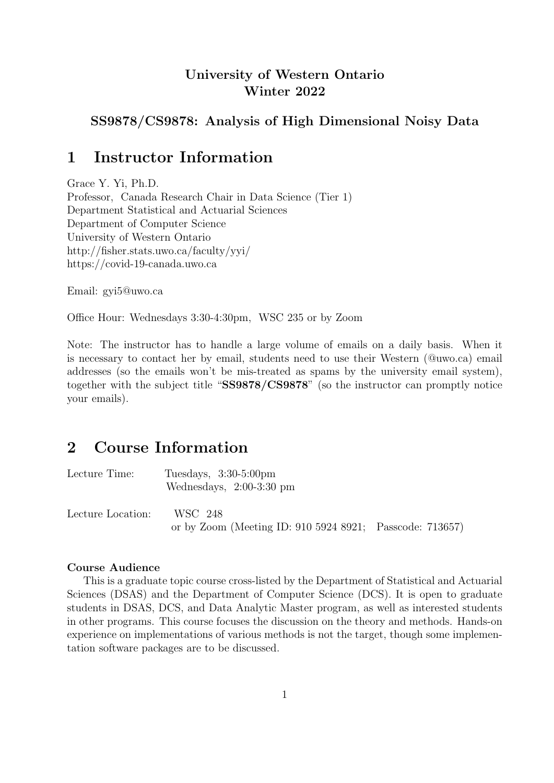## University of Western Ontario Winter 2022

## SS9878/CS9878: Analysis of High Dimensional Noisy Data

## 1 Instructor Information

Grace Y. Yi, Ph.D. Professor, Canada Research Chair in Data Science (Tier 1) Department Statistical and Actuarial Sciences Department of Computer Science University of Western Ontario http://fisher.stats.uwo.ca/faculty/yyi/ https://covid-19-canada.uwo.ca

Email: gyi5@uwo.ca

Office Hour: Wednesdays 3:30-4:30pm, WSC 235 or by Zoom

Note: The instructor has to handle a large volume of emails on a daily basis. When it is necessary to contact her by email, students need to use their Western (@uwo.ca) email addresses (so the emails won't be mis-treated as spams by the university email system), together with the subject title "SS9878/CS9878" (so the instructor can promptly notice your emails).

# 2 Course Information

| Lecture Time:     | Tuesdays, $3:30-5:00 \text{pm}$<br>Wednesdays, $2:00-3:30$ pm       |  |
|-------------------|---------------------------------------------------------------------|--|
| Lecture Location: | WSC 248<br>or by Zoom (Meeting ID: 910 5924 8921; Passcode: 713657) |  |

#### Course Audience

This is a graduate topic course cross-listed by the Department of Statistical and Actuarial Sciences (DSAS) and the Department of Computer Science (DCS). It is open to graduate students in DSAS, DCS, and Data Analytic Master program, as well as interested students in other programs. This course focuses the discussion on the theory and methods. Hands-on experience on implementations of various methods is not the target, though some implementation software packages are to be discussed.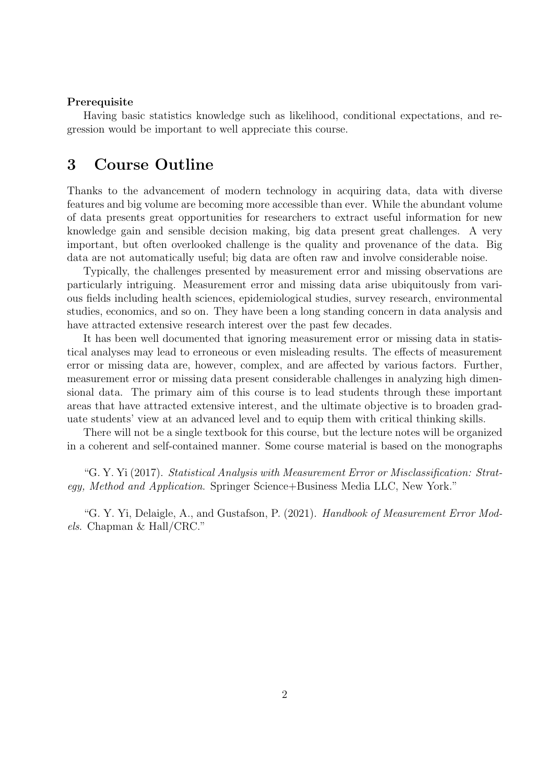#### Prerequisite

Having basic statistics knowledge such as likelihood, conditional expectations, and regression would be important to well appreciate this course.

## 3 Course Outline

Thanks to the advancement of modern technology in acquiring data, data with diverse features and big volume are becoming more accessible than ever. While the abundant volume of data presents great opportunities for researchers to extract useful information for new knowledge gain and sensible decision making, big data present great challenges. A very important, but often overlooked challenge is the quality and provenance of the data. Big data are not automatically useful; big data are often raw and involve considerable noise.

Typically, the challenges presented by measurement error and missing observations are particularly intriguing. Measurement error and missing data arise ubiquitously from various fields including health sciences, epidemiological studies, survey research, environmental studies, economics, and so on. They have been a long standing concern in data analysis and have attracted extensive research interest over the past few decades.

It has been well documented that ignoring measurement error or missing data in statistical analyses may lead to erroneous or even misleading results. The effects of measurement error or missing data are, however, complex, and are affected by various factors. Further, measurement error or missing data present considerable challenges in analyzing high dimensional data. The primary aim of this course is to lead students through these important areas that have attracted extensive interest, and the ultimate objective is to broaden graduate students' view at an advanced level and to equip them with critical thinking skills.

There will not be a single textbook for this course, but the lecture notes will be organized in a coherent and self-contained manner. Some course material is based on the monographs

"G. Y. Yi (2017). Statistical Analysis with Measurement Error or Misclassification: Strategy, Method and Application. Springer Science+Business Media LLC, New York."

"G. Y. Yi, Delaigle, A., and Gustafson, P. (2021). Handbook of Measurement Error Models. Chapman & Hall/CRC."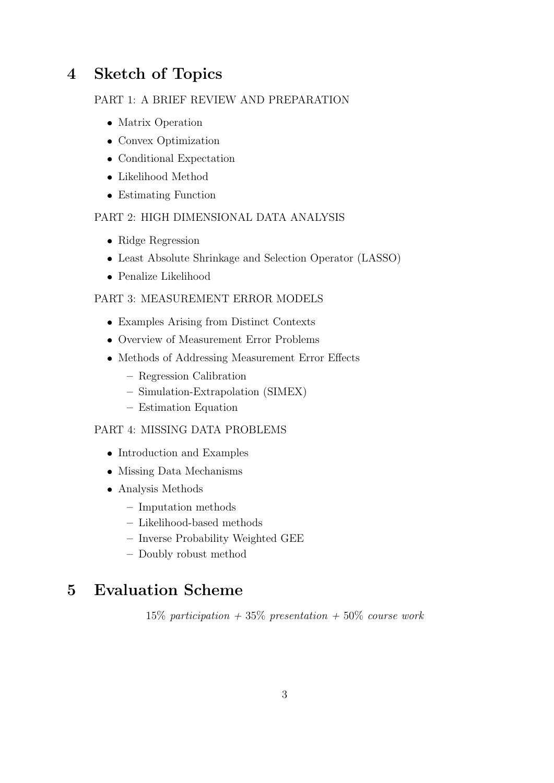# 4 Sketch of Topics

### PART 1: A BRIEF REVIEW AND PREPARATION

- Matrix Operation
- Convex Optimization
- Conditional Expectation
- Likelihood Method
- Estimating Function

### PART 2: HIGH DIMENSIONAL DATA ANALYSIS

- Ridge Regression
- Least Absolute Shrinkage and Selection Operator (LASSO)
- Penalize Likelihood

### PART 3: MEASUREMENT ERROR MODELS

- Examples Arising from Distinct Contexts
- Overview of Measurement Error Problems
- Methods of Addressing Measurement Error Effects
	- Regression Calibration
	- Simulation-Extrapolation (SIMEX)
	- Estimation Equation

### PART 4: MISSING DATA PROBLEMS

- Introduction and Examples
- Missing Data Mechanisms
- Analysis Methods
	- Imputation methods
	- Likelihood-based methods
	- Inverse Probability Weighted GEE
	- Doubly robust method

# 5 Evaluation Scheme

15% participation  $+35\%$  presentation  $+50\%$  course work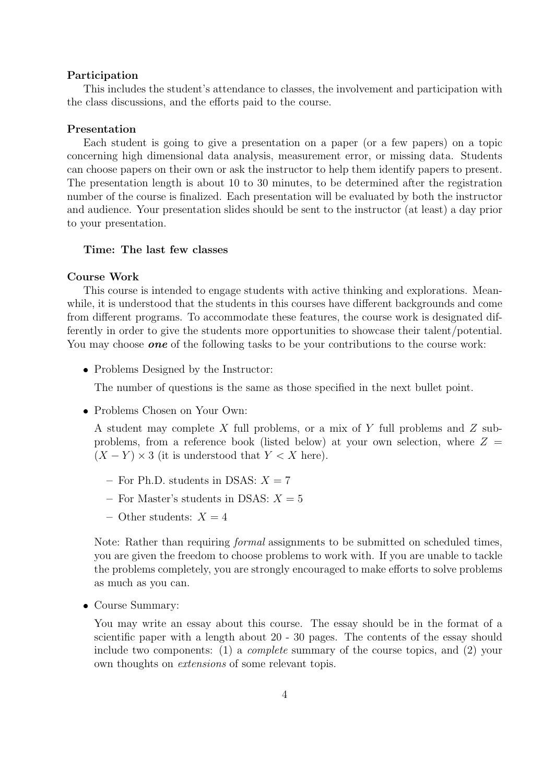#### Participation

This includes the student's attendance to classes, the involvement and participation with the class discussions, and the efforts paid to the course.

#### Presentation

Each student is going to give a presentation on a paper (or a few papers) on a topic concerning high dimensional data analysis, measurement error, or missing data. Students can choose papers on their own or ask the instructor to help them identify papers to present. The presentation length is about 10 to 30 minutes, to be determined after the registration number of the course is finalized. Each presentation will be evaluated by both the instructor and audience. Your presentation slides should be sent to the instructor (at least) a day prior to your presentation.

#### Time: The last few classes

#### Course Work

This course is intended to engage students with active thinking and explorations. Meanwhile, it is understood that the students in this courses have different backgrounds and come from different programs. To accommodate these features, the course work is designated differently in order to give the students more opportunities to showcase their talent/potential. You may choose **one** of the following tasks to be your contributions to the course work:

• Problems Designed by the Instructor:

The number of questions is the same as those specified in the next bullet point.

Problems Chosen on Your Own:

A student may complete  $X$  full problems, or a mix of  $Y$  full problems and  $Z$  subproblems, from a reference book (listed below) at your own selection, where  $Z =$  $(X - Y) \times 3$  (it is understood that  $Y \times X$  here).

- For Ph.D. students in DSAS:  $X = 7$
- For Master's students in DSAS:  $X = 5$
- Other students:  $X = 4$

Note: Rather than requiring *formal* assignments to be submitted on scheduled times, you are given the freedom to choose problems to work with. If you are unable to tackle the problems completely, you are strongly encouraged to make efforts to solve problems as much as you can.

Course Summary:

You may write an essay about this course. The essay should be in the format of a scientific paper with a length about 20 - 30 pages. The contents of the essay should include two components: (1) a complete summary of the course topics, and (2) your own thoughts on extensions of some relevant topis.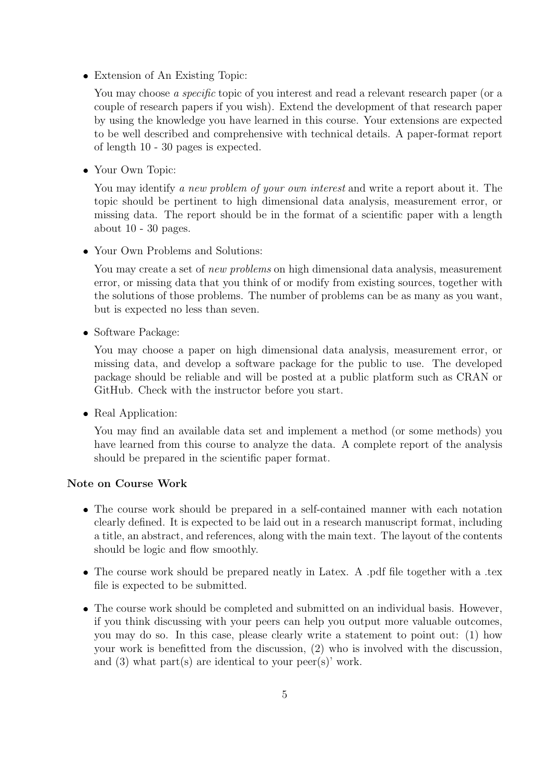Extension of An Existing Topic:

You may choose a specific topic of you interest and read a relevant research paper (or a couple of research papers if you wish). Extend the development of that research paper by using the knowledge you have learned in this course. Your extensions are expected to be well described and comprehensive with technical details. A paper-format report of length 10 - 30 pages is expected.

Your Own Topic:

You may identify a new problem of your own interest and write a report about it. The topic should be pertinent to high dimensional data analysis, measurement error, or missing data. The report should be in the format of a scientific paper with a length about 10 - 30 pages.

Your Own Problems and Solutions:

You may create a set of *new problems* on high dimensional data analysis, measurement error, or missing data that you think of or modify from existing sources, together with the solutions of those problems. The number of problems can be as many as you want, but is expected no less than seven.

• Software Package:

You may choose a paper on high dimensional data analysis, measurement error, or missing data, and develop a software package for the public to use. The developed package should be reliable and will be posted at a public platform such as CRAN or GitHub. Check with the instructor before you start.

• Real Application:

You may find an available data set and implement a method (or some methods) you have learned from this course to analyze the data. A complete report of the analysis should be prepared in the scientific paper format.

### Note on Course Work

- The course work should be prepared in a self-contained manner with each notation clearly defined. It is expected to be laid out in a research manuscript format, including a title, an abstract, and references, along with the main text. The layout of the contents should be logic and flow smoothly.
- The course work should be prepared neatly in Latex. A .pdf file together with a .tex file is expected to be submitted.
- The course work should be completed and submitted on an individual basis. However, if you think discussing with your peers can help you output more valuable outcomes, you may do so. In this case, please clearly write a statement to point out: (1) how your work is benefitted from the discussion, (2) who is involved with the discussion, and (3) what part(s) are identical to your peer(s)' work.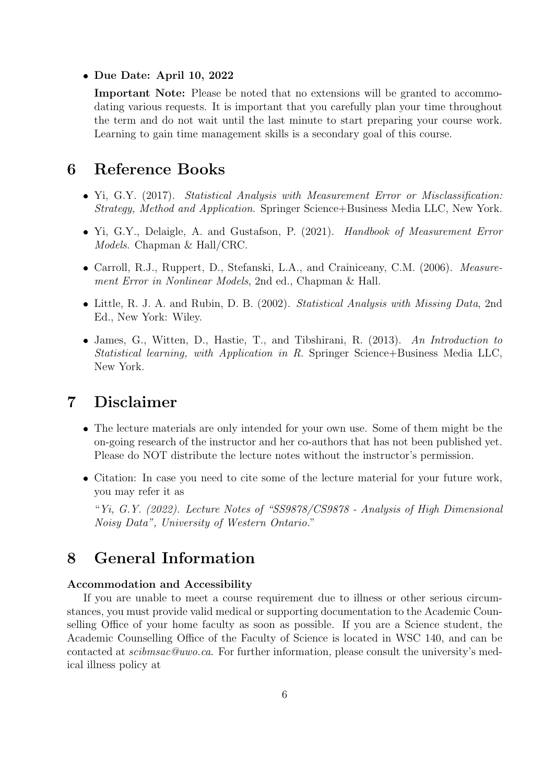## Due Date: April 10, 2022

Important Note: Please be noted that no extensions will be granted to accommodating various requests. It is important that you carefully plan your time throughout the term and do not wait until the last minute to start preparing your course work. Learning to gain time management skills is a secondary goal of this course.

# 6 Reference Books

- Yi, G.Y. (2017). Statistical Analysis with Measurement Error or Misclassification: Strategy, Method and Application. Springer Science+Business Media LLC, New York.
- Yi, G.Y., Delaigle, A. and Gustafson, P. (2021). Handbook of Measurement Error Models. Chapman & Hall/CRC.
- Carroll, R.J., Ruppert, D., Stefanski, L.A., and Crainiceany, C.M. (2006). Measurement Error in Nonlinear Models, 2nd ed., Chapman & Hall.
- Little, R. J. A. and Rubin, D. B. (2002). Statistical Analysis with Missing Data, 2nd Ed., New York: Wiley.
- James, G., Witten, D., Hastie, T., and Tibshirani, R. (2013). An Introduction to Statistical learning, with Application in R. Springer Science+Business Media LLC, New York.

## 7 Disclaimer

- The lecture materials are only intended for your own use. Some of them might be the on-going research of the instructor and her co-authors that has not been published yet. Please do NOT distribute the lecture notes without the instructor's permission.
- Citation: In case you need to cite some of the lecture material for your future work, you may refer it as

"Yi, G.Y. (2022). Lecture Notes of "SS9878/CS9878 - Analysis of High Dimensional Noisy Data", University of Western Ontario."

# 8 General Information

### Accommodation and Accessibility

If you are unable to meet a course requirement due to illness or other serious circumstances, you must provide valid medical or supporting documentation to the Academic Counselling Office of your home faculty as soon as possible. If you are a Science student, the Academic Counselling Office of the Faculty of Science is located in WSC 140, and can be contacted at scibmsac@uwo.ca. For further information, please consult the university's medical illness policy at